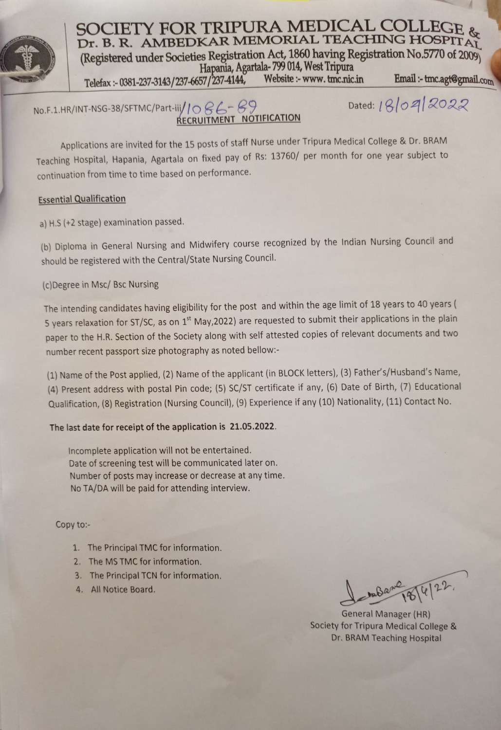

SOCIETY FOR TRIPURA MEDICAL COLI Dr. B. R. AMBEDKAR MEMORIAL TEACHING HOSPITAY (Registered under Societies Registration Act, 1860 having Registration No.5770 of 2009 Hapania, Agartala-799 014, West Tripura<br>57/237-4144, Website :- www. tmc.nic.in Telefax:-0381-237-3143/237-6657/237-4144, Website:-www.tmc.nic.in Email:-tmc.agt@gmail.com

 $No.F.1.HR/INT-NSG-38/SFTMC/Part-iii/1086-89$  Dated:  $18/0912022$ RECRUITMENT NOTIFICATION

Applications are invited for the 15 posts of staff Nurse under Tripura Medical College & Dr. BRAM Teaching Hospital, Hapania, Agartala on fixed pay of Rs: 13760/ per month for one year subject to continuation from time to time based on performance.

## Essential Qualification

a) H.S(+2 stage) examination passed.

(b) Diploma in General Nursing and Midwifery course recognized by the Indian Nursing Council and should be registered with the Central/State Nursing Council.

## (c)Degree in Msc/ Bsc Nursing

The intending candidates having eligibility for the post and within the age limit of 18 years to 40 years ( 5 years relaxation for ST/SC, as on 1<sup>st</sup> May,2022) are requested to submit their applications in the plain paper to the H.R. Section of the Society along with self attested copies of relevant documents and two number recent passport size photography as noted bellow:

(1) Name of the Post applied, (2) Name of the applicant (in BLOCK letters), (3) Father's/Husband's Name, (4) Present address with postal Pin code; (5) sc/ST certificate if any, (6) Date of Birth, (7) Educational Qualification, (8) Registration (Nursing Council), (9) Experience if any (10) Nationality, (11) Contact No.

## The last date for receipt of the application is 21.05.2022.

Incomplete application will not be entertained. Date of screening test will be communicated later on. Number of posts may increase or decrease at any time. No TA/DA will be paid for attending interview.

## Copy to-

- 1. The Principal TMC for information.
- 2. The MS TMC for information.
- 3. The Principal TCN for information.
- 

4. All Notice Board.  $\int_{\mathbb{R}} \mathbf{B} \mathbf{a}^{\mu} \mathbf{a}^{\nu} \mathbf{a}^{\nu} \mathbf{a}^{\nu}$ 

General Manager (HR) Society for Tripura Medical College & Dr. BRAM Teaching Hospital